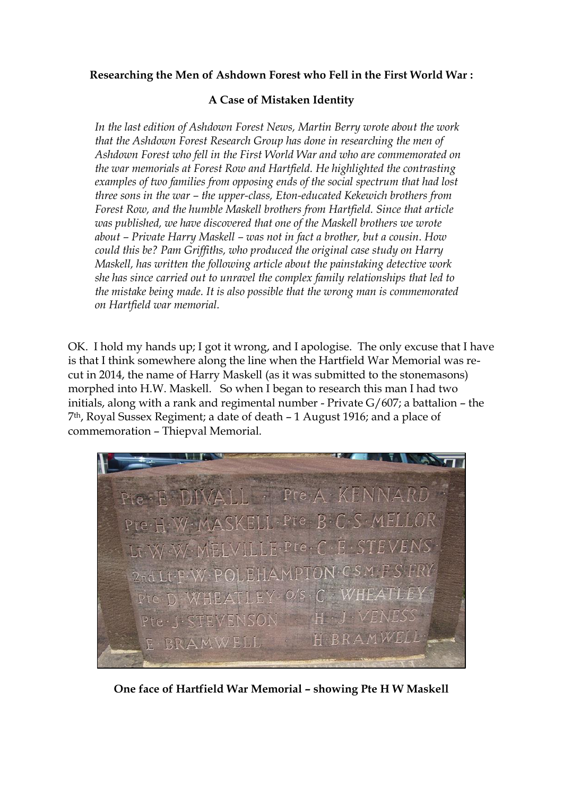## **Researching the Men of Ashdown Forest who Fell in the First World War :**

## **A Case of Mistaken Identity**

*In the last edition of Ashdown Forest News, Martin Berry wrote about the work that the Ashdown Forest Research Group has done in researching the men of Ashdown Forest who fell in the First World War and who are commemorated on the war memorials at Forest Row and Hartfield. He highlighted the contrasting examples of two families from opposing ends of the social spectrum that had lost three sons in the war – the upper-class, Eton-educated Kekewich brothers from Forest Row, and the humble Maskell brothers from Hartfield. Since that article was published, we have discovered that one of the Maskell brothers we wrote about – Private Harry Maskell – was not in fact a brother, but a cousin. How could this be? Pam Griffiths, who produced the original case study on Harry Maskell, has written the following article about the painstaking detective work she has since carried out to unravel the complex family relationships that led to the mistake being made. It is also possible that the wrong man is commemorated on Hartfield war memorial.*

OK. I hold my hands up; I got it wrong, and I apologise. The only excuse that I have is that I think somewhere along the line when the Hartfield War Memorial was recut in 2014, the name of Harry Maskell (as it was submitted to the stonemasons) morphed into H.W. Maskell. So when I began to research this man I had two initials, along with a rank and regimental number - Private G/607; a battalion – the 7th, Royal Sussex Regiment; a date of death – 1 August 1916; and a place of commemoration – Thiepval Memorial.

Pte F DIVALL Pte A KENNAR W. MASKELL. Pte. B. C. S. ME  $\cdot$  F  $\cdot$  ST  $TF.Pte. C$  $ONCSM \cdot F$ I FHAMPT  $O/S \cdot C \cdot WHEA$ VENSON BRAMWEL E BRAMWELL

**One face of Hartfield War Memorial – showing Pte H W Maskell**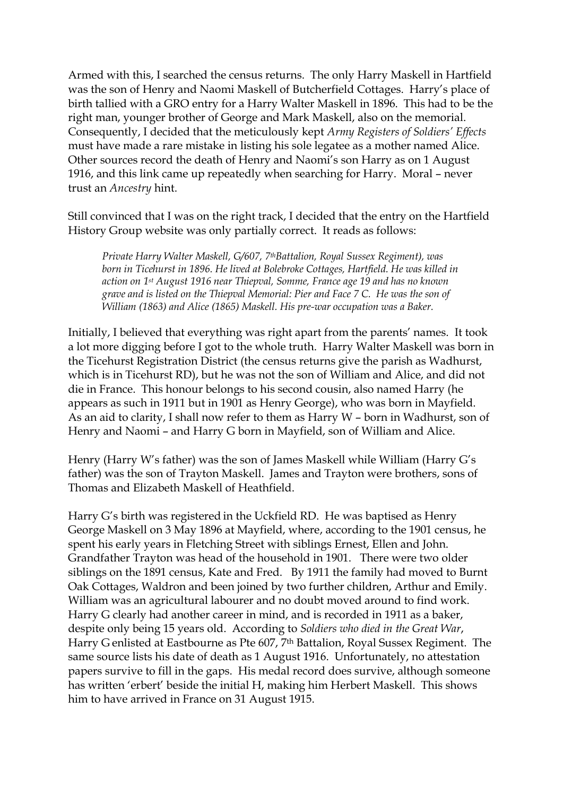Armed with this, I searched the census returns. The only Harry Maskell in Hartfield was the son of Henry and Naomi Maskell of Butcherfield Cottages. Harry's place of birth tallied with a GRO entry for a Harry Walter Maskell in 1896. This had to be the right man, younger brother of George and Mark Maskell, also on the memorial. Consequently, I decided that the meticulously kept *Army Registers of Soldiers' Effects* must have made a rare mistake in listing his sole legatee as a mother named Alice. Other sources record the death of Henry and Naomi's son Harry as on 1 August 1916, and this link came up repeatedly when searching for Harry. Moral – never trust an *Ancestry* hint.

Still convinced that I was on the right track, I decided that the entry on the Hartfield History Group website was only partially correct. It reads as follows:

*Private Harry Walter Maskell, G/607, 7thBattalion, Royal Sussex Regiment), was born in Ticehurst in 1896. He lived at Bolebroke Cottages, Hartfield. He was killed in action on 1st August 1916 near Thiepval, Somme, France age 19 and has no known grave and is listed on the Thiepval Memorial: Pier and Face 7 C. He was the son of William (1863) and Alice (1865) Maskell. His pre-war occupation was a Baker.*

Initially, I believed that everything was right apart from the parents' names. It took a lot more digging before I got to the whole truth. Harry Walter Maskell was born in the Ticehurst Registration District (the census returns give the parish as Wadhurst, which is in Ticehurst RD), but he was not the son of William and Alice, and did not die in France. This honour belongs to his second cousin, also named Harry (he appears as such in 1911 but in 1901 as Henry George), who was born in Mayfield. As an aid to clarity, I shall now refer to them as Harry W – born in Wadhurst, son of Henry and Naomi – and Harry G born in Mayfield, son of William and Alice.

Henry (Harry W's father) was the son of James Maskell while William (Harry G's father) was the son of Trayton Maskell. James and Trayton were brothers, sons of Thomas and Elizabeth Maskell of Heathfield.

Harry G's birth was registered in the Uckfield RD. He was baptised as Henry George Maskell on 3 May 1896 at Mayfield, where, according to the 1901 census, he spent his early years in Fletching Street with siblings Ernest, Ellen and John. Grandfather Trayton was head of the household in 1901. There were two older siblings on the 1891 census, Kate and Fred. By 1911 the family had moved to Burnt Oak Cottages, Waldron and been joined by two further children, Arthur and Emily. William was an agricultural labourer and no doubt moved around to find work. Harry G clearly had another career in mind, and is recorded in 1911 as a baker, despite only being 15 years old. According to *Soldiers who died in the Great War*, Harry G enlisted at Eastbourne as Pte 607, 7th Battalion, Royal Sussex Regiment. The same source lists his date of death as 1 August 1916. Unfortunately, no attestation papers survive to fill in the gaps. His medal record does survive, although someone has written 'erbert' beside the initial H, making him Herbert Maskell. This shows him to have arrived in France on 31 August 1915.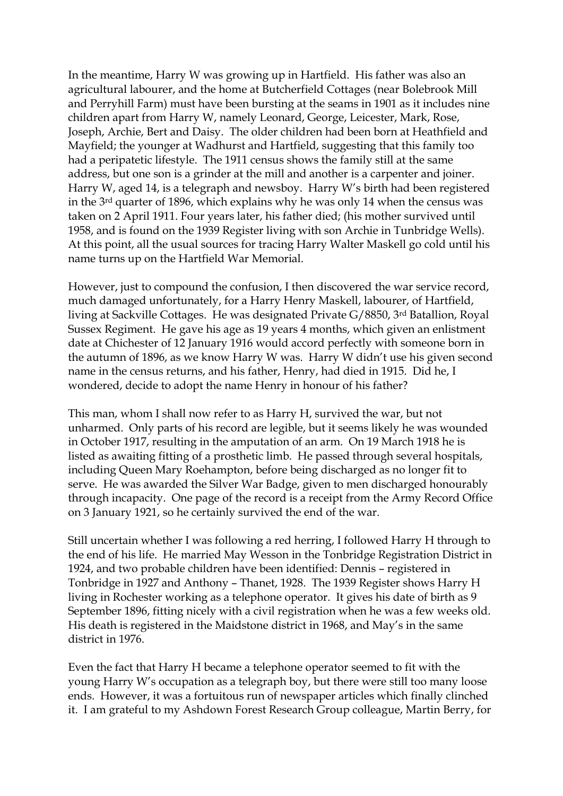In the meantime, Harry W was growing up in Hartfield. His father was also an agricultural labourer, and the home at Butcherfield Cottages (near Bolebrook Mill and Perryhill Farm) must have been bursting at the seams in 1901 as it includes nine children apart from Harry W, namely Leonard, George, Leicester, Mark, Rose, Joseph, Archie, Bert and Daisy. The older children had been born at Heathfield and Mayfield; the younger at Wadhurst and Hartfield, suggesting that this family too had a peripatetic lifestyle. The 1911 census shows the family still at the same address, but one son is a grinder at the mill and another is a carpenter and joiner. Harry W, aged 14, is a telegraph and newsboy. Harry W's birth had been registered in the 3rd quarter of 1896, which explains why he was only 14 when the census was taken on 2 April 1911. Four years later, his father died; (his mother survived until 1958, and is found on the 1939 Register living with son Archie in Tunbridge Wells). At this point, all the usual sources for tracing Harry Walter Maskell go cold until his name turns up on the Hartfield War Memorial.

However, just to compound the confusion, I then discovered the war service record, much damaged unfortunately, for a Harry Henry Maskell, labourer, of Hartfield, living at Sackville Cottages. He was designated Private G/8850, 3rd Batallion, Royal Sussex Regiment. He gave his age as 19 years 4 months, which given an enlistment date at Chichester of 12 January 1916 would accord perfectly with someone born in the autumn of 1896, as we know Harry W was. Harry W didn't use his given second name in the census returns, and his father, Henry, had died in 1915. Did he, I wondered, decide to adopt the name Henry in honour of his father?

This man, whom I shall now refer to as Harry H, survived the war, but not unharmed. Only parts of his record are legible, but it seems likely he was wounded in October 1917, resulting in the amputation of an arm. On 19 March 1918 he is listed as awaiting fitting of a prosthetic limb. He passed through several hospitals, including Queen Mary Roehampton, before being discharged as no longer fit to serve. He was awarded the Silver War Badge, given to men discharged honourably through incapacity. One page of the record is a receipt from the Army Record Office on 3 January 1921, so he certainly survived the end of the war.

Still uncertain whether I was following a red herring, I followed Harry H through to the end of his life. He married May Wesson in the Tonbridge Registration District in 1924, and two probable children have been identified: Dennis – registered in Tonbridge in 1927 and Anthony – Thanet, 1928. The 1939 Register shows Harry H living in Rochester working as a telephone operator. It gives his date of birth as 9 September 1896, fitting nicely with a civil registration when he was a few weeks old. His death is registered in the Maidstone district in 1968, and May's in the same district in 1976.

Even the fact that Harry H became a telephone operator seemed to fit with the young Harry W's occupation as a telegraph boy, but there were still too many loose ends. However, it was a fortuitous run of newspaper articles which finally clinched it. I am grateful to my Ashdown Forest Research Group colleague, Martin Berry, for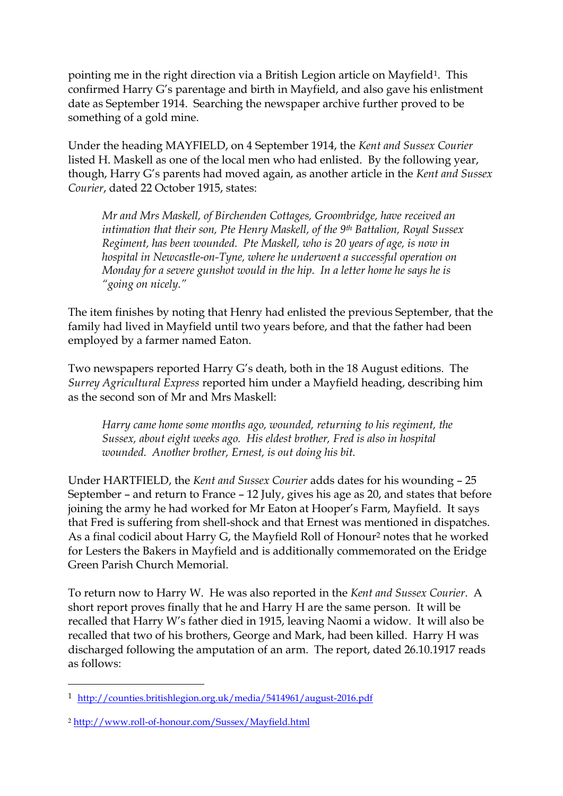pointing me in the right direction via a British Legion article on Mayfield<sup>1</sup>. This confirmed Harry G's parentage and birth in Mayfield, and also gave his enlistment date as September 1914. Searching the newspaper archive further proved to be something of a gold mine.

Under the heading MAYFIELD, on 4 September 1914, the *Kent and Sussex Courier* listed H. Maskell as one of the local men who had enlisted. By the following year, though, Harry G's parents had moved again, as another article in the *Kent and Sussex Courier*, dated 22 October 1915, states:

*Mr and Mrs Maskell, of Birchenden Cottages, Groombridge, have received an intimation that their son, Pte Henry Maskell, of the 9th Battalion, Royal Sussex Regiment, has been wounded. Pte Maskell, who is 20 years of age, is now in hospital in Newcastle-on-Tyne, where he underwent a successful operation on Monday for a severe gunshot would in the hip. In a letter home he says he is "going on nicely."*

The item finishes by noting that Henry had enlisted the previous September, that the family had lived in Mayfield until two years before, and that the father had been employed by a farmer named Eaton.

Two newspapers reported Harry G's death, both in the 18 August editions. The *Surrey Agricultural Express* reported him under a Mayfield heading, describing him as the second son of Mr and Mrs Maskell:

*Harry came home some months ago, wounded, returning to his regiment, the Sussex, about eight weeks ago. His eldest brother, Fred is also in hospital wounded. Another brother, Ernest, is out doing his bit.*

Under HARTFIELD, the *Kent and Sussex Courier* adds dates for his wounding – 25 September – and return to France – 12 July, gives his age as 20, and states that before joining the army he had worked for Mr Eaton at Hooper's Farm, Mayfield. It says that Fred is suffering from shell-shock and that Ernest was mentioned in dispatches. As a final codicil about Harry G, the Mayfield Roll of Honour<sup>2</sup> notes that he worked for Lesters the Bakers in Mayfield and is additionally commemorated on the Eridge Green Parish Church Memorial.

To return now to Harry W. He was also reported in the *Kent and Sussex Courier*. A short report proves finally that he and Harry H are the same person. It will be recalled that Harry W's father died in 1915, leaving Naomi a widow. It will also be recalled that two of his brothers, George and Mark, had been killed. Harry H was discharged following the amputation of an arm. The report, dated 26.10.1917 reads as follows:

-

<sup>1</sup> <http://counties.britishlegion.org.uk/media/5414961/august-2016.pdf>

<sup>2</sup> <http://www.roll-of-honour.com/Sussex/Mayfield.html>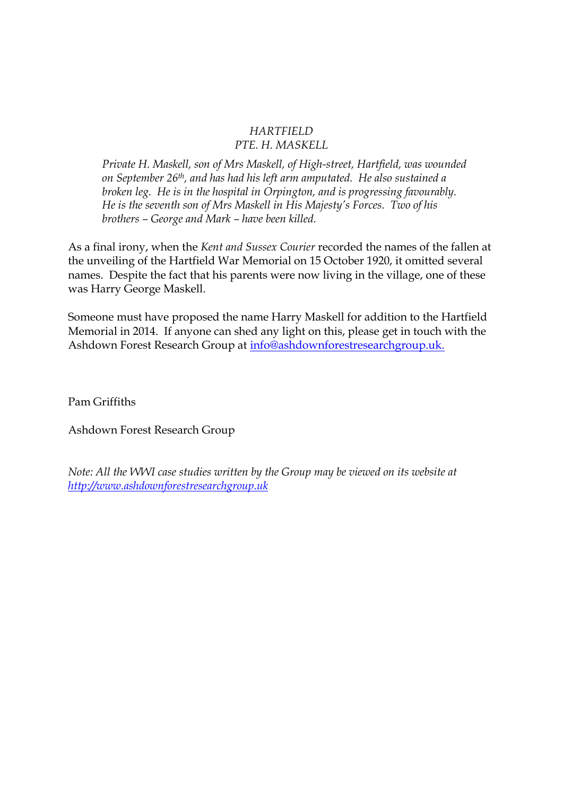## *HARTFIELD PTE. H. MASKELL*

*Private H. Maskell, son of Mrs Maskell, of High-street, Hartfield, was wounded on September 26th, and has had his left arm amputated. He also sustained a broken leg. He is in the hospital in Orpington, and is progressing favourably. He is the seventh son of Mrs Maskell in His Majesty's Forces. Two of his brothers – George and Mark – have been killed.*

As a final irony, when the *Kent and Sussex Courier* recorded the names of the fallen at the unveiling of the Hartfield War Memorial on 15 October 1920, it omitted several names. Despite the fact that his parents were now living in the village, one of these was Harry George Maskell.

Someone must have proposed the name Harry Maskell for addition to the Hartfield Memorial in 2014. If anyone can shed any light on this, please get in touch with the Ashdown Forest Research Group at [info@ashdownforestresearchgroup.uk.](mailto:info@ashdownforestresearchgroup.uk)

Pam Griffiths

Ashdown Forest Research Group

*Note: All the WWI case studies written by the Group may be viewed on its website at [http://www.ashdownforestresearchgroup.uk](http://www.ashdownforestresearchgroup.uk/)*